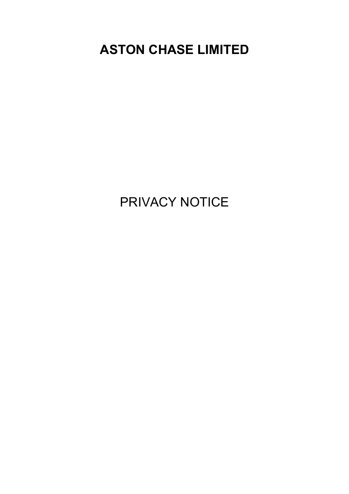**ASTON CHASE LIMITED** 

PRIVACY NOTICE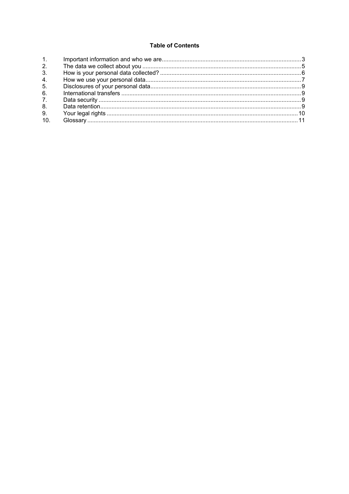# **Table of Contents**

| 1.             |  |
|----------------|--|
| 2.             |  |
| 3.             |  |
| 4.             |  |
| 5.             |  |
| 6.             |  |
| 7 <sub>1</sub> |  |
| 8.             |  |
| 9.             |  |
| 10.            |  |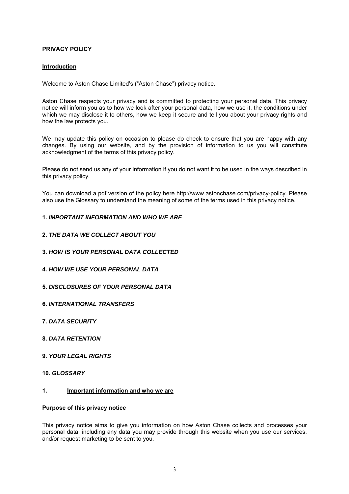# **PRIVACY POLICY**

## **Introduction**

Welcome to Aston Chase Limited's ("Aston Chase") privacy notice.

Aston Chase respects your privacy and is committed to protecting your personal data. This privacy notice will inform you as to how we look after your personal data, how we use it, the conditions under which we may disclose it to others, how we keep it secure and tell you about your privacy rights and how the law protects you.

We may update this policy on occasion to please do check to ensure that you are happy with any changes. By using our website, and by the provision of information to us you will constitute acknowledgment of the terms of this privacy policy.

Please do not send us any of your information if you do not want it to be used in the ways described in this privacy policy.

You can download a pdf version of the policy here http://www.astonchase.com/privacy-policy. Please also use the Glossary to understand the meaning of some of the terms used in this privacy notice.

## **1.** *IMPORTANT INFORMATION AND WHO WE ARE*

- **2.** *THE DATA WE COLLECT ABOUT YOU*
- **3.** *HOW IS YOUR PERSONAL DATA COLLECTED*
- **4.** *HOW WE USE YOUR PERSONAL DATA*
- **5.** *DISCLOSURES OF YOUR PERSONAL DATA*
- **6.** *INTERNATIONAL TRANSFERS*
- **7.** *DATA SECURITY*
- **8.** *DATA RETENTION*
- **9.** *YOUR LEGAL RIGHTS*
- **10.** *GLOSSARY*

## **1. Important information and who we are**

#### **Purpose of this privacy notice**

This privacy notice aims to give you information on how Aston Chase collects and processes your personal data, including any data you may provide through this website when you use our services, and/or request marketing to be sent to you.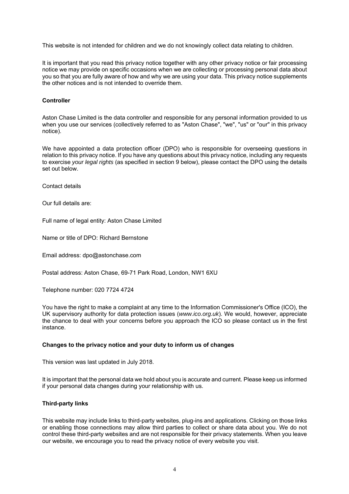This website is not intended for children and we do not knowingly collect data relating to children.

It is important that you read this privacy notice together with any other privacy notice or fair processing notice we may provide on specific occasions when we are collecting or processing personal data about you so that you are fully aware of how and why we are using your data. This privacy notice supplements the other notices and is not intended to override them.

### **Controller**

Aston Chase Limited is the data controller and responsible for any personal information provided to us when you use our services (collectively referred to as "Aston Chase", "we", "us" or "our" in this privacy notice).

We have appointed a data protection officer (DPO) who is responsible for overseeing questions in relation to this privacy notice. If you have any questions about this privacy notice, including any requests to exercise *your legal rights* (as specified in section 9 below), please contact the DPO using the details set out below.

Contact details

Our full details are:

Full name of legal entity: Aston Chase Limited

Name or title of DPO: Richard Bernstone

Email address: dpo@astonchase.com

Postal address: Aston Chase, 69-71 Park Road, London, NW1 6XU

Telephone number: 020 7724 4724

You have the right to make a complaint at any time to the Information Commissioner's Office (ICO), the UK supervisory authority for data protection issues (*www.ico.org.uk*). We would, however, appreciate the chance to deal with your concerns before you approach the ICO so please contact us in the first instance.

## **Changes to the privacy notice and your duty to inform us of changes**

This version was last updated in July 2018.

It is important that the personal data we hold about you is accurate and current. Please keep us informed if your personal data changes during your relationship with us.

## **Third-party links**

This website may include links to third-party websites, plug-ins and applications. Clicking on those links or enabling those connections may allow third parties to collect or share data about you. We do not control these third-party websites and are not responsible for their privacy statements. When you leave our website, we encourage you to read the privacy notice of every website you visit.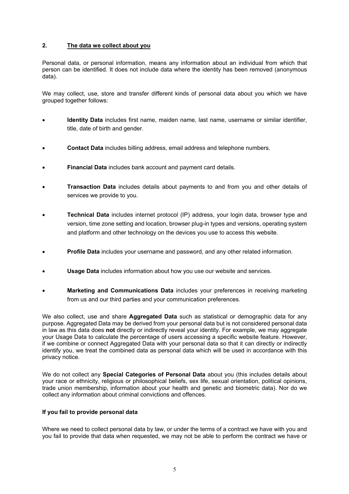# **2. The data we collect about you**

Personal data, or personal information, means any information about an individual from which that person can be identified. It does not include data where the identity has been removed (anonymous data).

We may collect, use, store and transfer different kinds of personal data about you which we have grouped together follows:

- **Identity Data** includes first name, maiden name, last name, username or similar identifier, title, date of birth and gender.
- **Contact Data** includes billing address, email address and telephone numbers.
- **Financial Data** includes bank account and payment card details.
- **Transaction Data** includes details about payments to and from you and other details of services we provide to you.
- **Technical Data** includes internet protocol (IP) address, your login data, browser type and version, time zone setting and location, browser plug-in types and versions, operating system and platform and other technology on the devices you use to access this website.
- **Profile Data** includes your username and password, and any other related information.
- **Usage Data** includes information about how you use our website and services.
- **Marketing and Communications Data** includes your preferences in receiving marketing from us and our third parties and your communication preferences.

We also collect, use and share **Aggregated Data** such as statistical or demographic data for any purpose. Aggregated Data may be derived from your personal data but is not considered personal data in law as this data does **not** directly or indirectly reveal your identity. For example, we may aggregate your Usage Data to calculate the percentage of users accessing a specific website feature. However, if we combine or connect Aggregated Data with your personal data so that it can directly or indirectly identify you, we treat the combined data as personal data which will be used in accordance with this privacy notice.

We do not collect any **Special Categories of Personal Data** about you (this includes details about your race or ethnicity, religious or philosophical beliefs, sex life, sexual orientation, political opinions, trade union membership, information about your health and genetic and biometric data). Nor do we collect any information about criminal convictions and offences.

## **If you fail to provide personal data**

Where we need to collect personal data by law, or under the terms of a contract we have with you and you fail to provide that data when requested, we may not be able to perform the contract we have or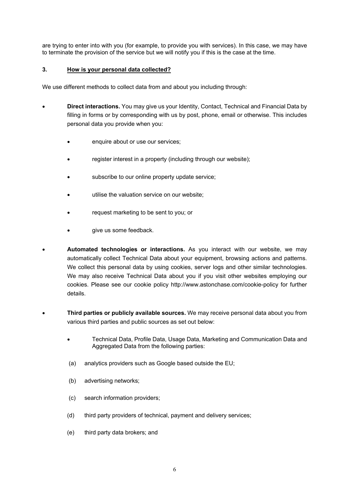are trying to enter into with you (for example, to provide you with services). In this case, we may have to terminate the provision of the service but we will notify you if this is the case at the time.

# **3. How is your personal data collected?**

We use different methods to collect data from and about you including through:

- **Direct interactions.** You may give us your Identity, Contact, Technical and Financial Data by filling in forms or by corresponding with us by post, phone, email or otherwise. This includes personal data you provide when you:
	- enquire about or use our services;
	- register interest in a property (including through our website);
	- subscribe to our online property update service;
	- utilise the valuation service on our website;
	- request marketing to be sent to you; or
	- give us some feedback.
- **Automated technologies or interactions.** As you interact with our website, we may automatically collect Technical Data about your equipment, browsing actions and patterns. We collect this personal data by using cookies, server logs and other similar technologies. We may also receive Technical Data about you if you visit other websites employing our cookies. Please see our cookie policy http://www.astonchase.com/cookie-policy for further details.
- **Third parties or publicly available sources.** We may receive personal data about you from various third parties and public sources as set out below:
	- Technical Data, Profile Data, Usage Data, Marketing and Communication Data and Aggregated Data from the following parties:
	- (a) analytics providers such as Google based outside the EU;
	- (b) advertising networks;
	- (c) search information providers;
	- (d) third party providers of technical, payment and delivery services;
	- (e) third party data brokers; and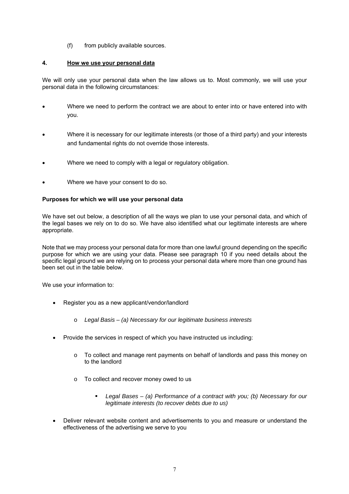(f) from publicly available sources.

## **4. How we use your personal data**

We will only use your personal data when the law allows us to. Most commonly, we will use your personal data in the following circumstances:

- Where we need to perform the contract we are about to enter into or have entered into with you.
- Where it is necessary for our legitimate interests (or those of a third party) and your interests and fundamental rights do not override those interests.
- Where we need to comply with a legal or regulatory obligation.
- Where we have your consent to do so.

# **Purposes for which we will use your personal data**

We have set out below, a description of all the ways we plan to use your personal data, and which of the legal bases we rely on to do so. We have also identified what our legitimate interests are where appropriate.

Note that we may process your personal data for more than one lawful ground depending on the specific purpose for which we are using your data. Please see paragraph 10 if you need details about the specific legal ground we are relying on to process your personal data where more than one ground has been set out in the table below.

We use your information to:

- Register you as a new applicant/vendor/landlord
	- o *Legal Basis (a) Necessary for our legitimate business interests*
- Provide the services in respect of which you have instructed us including:
	- o To collect and manage rent payments on behalf of landlords and pass this money on to the landlord
	- o To collect and recover money owed to us
		- *Legal Bases (a) Performance of a contract with you; (b) Necessary for our legitimate interests (to recover debts due to us)*
- Deliver relevant website content and advertisements to you and measure or understand the effectiveness of the advertising we serve to you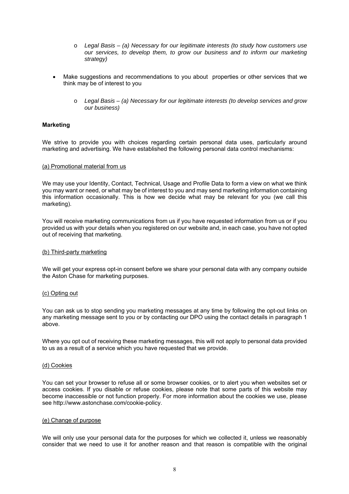- o *Legal Basis (a) Necessary for our legitimate interests (to study how customers use our services, to develop them, to grow our business and to inform our marketing strategy)*
- Make suggestions and recommendations to you about properties or other services that we think may be of interest to you
	- o *Legal Basis (a) Necessary for our legitimate interests (to develop services and grow our business)*

### **Marketing**

We strive to provide you with choices regarding certain personal data uses, particularly around marketing and advertising. We have established the following personal data control mechanisms:

#### (a) Promotional material from us

We may use your Identity, Contact, Technical, Usage and Profile Data to form a view on what we think you may want or need, or what may be of interest to you and may send marketing information containing this information occasionally. This is how we decide what may be relevant for you (we call this marketing).

You will receive marketing communications from us if you have requested information from us or if you provided us with your details when you registered on our website and, in each case, you have not opted out of receiving that marketing.

#### (b) Third-party marketing

We will get your express opt-in consent before we share your personal data with any company outside the Aston Chase for marketing purposes.

#### (c) Opting out

You can ask us to stop sending you marketing messages at any time by following the opt-out links on any marketing message sent to you or by contacting our DPO using the contact details in paragraph 1 above.

Where you opt out of receiving these marketing messages, this will not apply to personal data provided to us as a result of a service which you have requested that we provide.

#### (d) Cookies

You can set your browser to refuse all or some browser cookies, or to alert you when websites set or access cookies. If you disable or refuse cookies, please note that some parts of this website may become inaccessible or not function properly. For more information about the cookies we use, please see http://www.astonchase.com/cookie-policy.

#### (e) Change of purpose

We will only use your personal data for the purposes for which we collected it, unless we reasonably consider that we need to use it for another reason and that reason is compatible with the original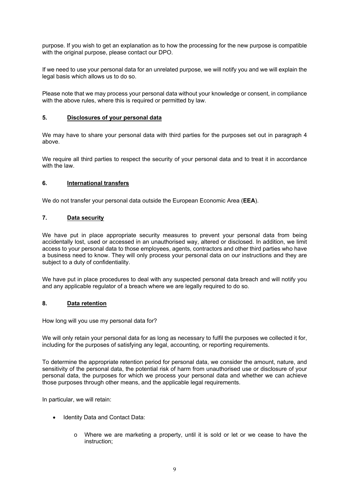purpose. If you wish to get an explanation as to how the processing for the new purpose is compatible with the original purpose, please contact our DPO.

If we need to use your personal data for an unrelated purpose, we will notify you and we will explain the legal basis which allows us to do so.

Please note that we may process your personal data without your knowledge or consent, in compliance with the above rules, where this is required or permitted by law.

## **5. Disclosures of your personal data**

We may have to share your personal data with third parties for the purposes set out in paragraph 4 above.

We require all third parties to respect the security of your personal data and to treat it in accordance with the law

## **6. International transfers**

We do not transfer your personal data outside the European Economic Area (**EEA**).

## **7. Data security**

We have put in place appropriate security measures to prevent your personal data from being accidentally lost, used or accessed in an unauthorised way, altered or disclosed. In addition, we limit access to your personal data to those employees, agents, contractors and other third parties who have a business need to know. They will only process your personal data on our instructions and they are subject to a duty of confidentiality.

We have put in place procedures to deal with any suspected personal data breach and will notify you and any applicable regulator of a breach where we are legally required to do so.

## **8. Data retention**

How long will you use my personal data for?

We will only retain your personal data for as long as necessary to fulfil the purposes we collected it for, including for the purposes of satisfying any legal, accounting, or reporting requirements.

To determine the appropriate retention period for personal data, we consider the amount, nature, and sensitivity of the personal data, the potential risk of harm from unauthorised use or disclosure of your personal data, the purposes for which we process your personal data and whether we can achieve those purposes through other means, and the applicable legal requirements.

In particular, we will retain:

- Identity Data and Contact Data:
	- o Where we are marketing a property, until it is sold or let or we cease to have the instruction;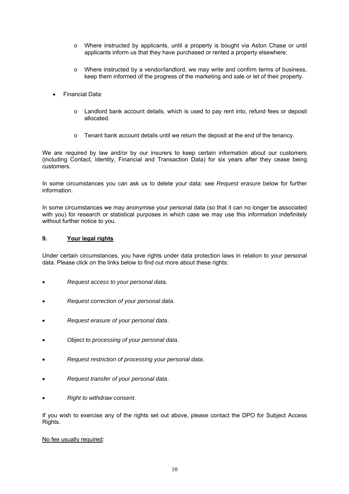- o Where instructed by applicants, until a property is bought via Aston Chase or until applicants inform us that they have purchased or rented a property elsewhere;
- o Where instructed by a vendor/landlord, we may write and confirm terms of business, keep them informed of the progress of the marketing and sale or let of their property.
- Financial Data:
	- o Landlord bank account details, which is used to pay rent into, refund fees or deposit allocated.
	- $\circ$  Tenant bank account details until we return the deposit at the end of the tenancy.

We are required by law and/or by our insurers to keep certain information about our customers (including Contact, Identity, Financial and Transaction Data) for six years after they cease being customers.

In some circumstances you can ask us to delete your data: see *Request erasure* below for further information.

In some circumstances we may anonymise your personal data (so that it can no longer be associated with you) for research or statistical purposes in which case we may use this information indefinitely without further notice to you.

## **9. Your legal rights**

Under certain circumstances, you have rights under data protection laws in relation to your personal data. Please click on the links below to find out more about these rights:

- *Request access to your personal data*.
- *Request correction of your personal data*.
- *Request erasure of your personal data*.
- *Object to processing of your personal data*.
- *Request restriction of processing your personal data*.
- *Request transfer of your personal data*.
- *Right to withdraw consent*.

If you wish to exercise any of the rights set out above, please contact the DPO for Subject Access Rights.

#### No fee usually required: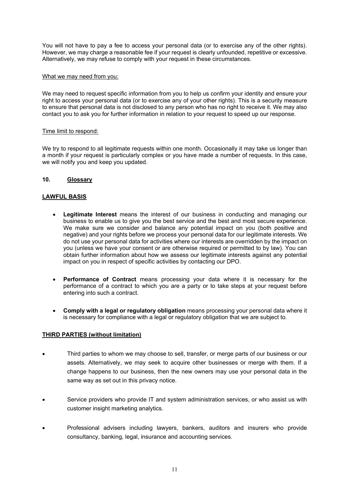You will not have to pay a fee to access your personal data (or to exercise any of the other rights). However, we may charge a reasonable fee if your request is clearly unfounded, repetitive or excessive. Alternatively, we may refuse to comply with your request in these circumstances.

### What we may need from you:

We may need to request specific information from you to help us confirm your identity and ensure your right to access your personal data (or to exercise any of your other rights). This is a security measure to ensure that personal data is not disclosed to any person who has no right to receive it. We may also contact you to ask you for further information in relation to your request to speed up our response.

### Time limit to respond:

We try to respond to all legitimate requests within one month. Occasionally it may take us longer than a month if your request is particularly complex or you have made a number of requests. In this case, we will notify you and keep you updated.

### **10. Glossary**

### **LAWFUL BASIS**

- **Legitimate Interest** means the interest of our business in conducting and managing our business to enable us to give you the best service and the best and most secure experience. We make sure we consider and balance any potential impact on you (both positive and negative) and your rights before we process your personal data for our legitimate interests. We do not use your personal data for activities where our interests are overridden by the impact on you (unless we have your consent or are otherwise required or permitted to by law). You can obtain further information about how we assess our legitimate interests against any potential impact on you in respect of specific activities by contacting our DPO.
- **Performance of Contract** means processing your data where it is necessary for the performance of a contract to which you are a party or to take steps at your request before entering into such a contract.
- **Comply with a legal or regulatory obligation** means processing your personal data where it is necessary for compliance with a legal or regulatory obligation that we are subject to.

#### **THIRD PARTIES (without limitation)**

- Third parties to whom we may choose to sell, transfer, or merge parts of our business or our assets. Alternatively, we may seek to acquire other businesses or merge with them. If a change happens to our business, then the new owners may use your personal data in the same way as set out in this privacy notice.
- Service providers who provide IT and system administration services, or who assist us with customer insight marketing analytics.
- Professional advisers including lawyers, bankers, auditors and insurers who provide consultancy, banking, legal, insurance and accounting services.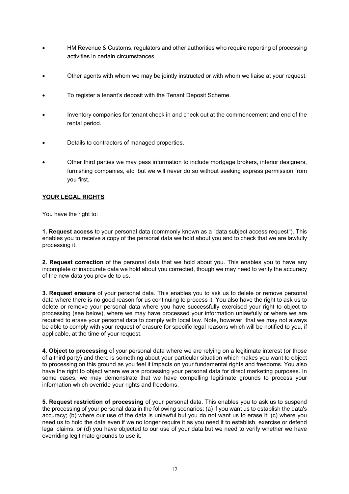- HM Revenue & Customs, regulators and other authorities who require reporting of processing activities in certain circumstances.
- Other agents with whom we may be jointly instructed or with whom we liaise at your request.
- To register a tenant's deposit with the Tenant Deposit Scheme.
- Inventory companies for tenant check in and check out at the commencement and end of the rental period.
- Details to contractors of managed properties.
- Other third parties we may pass information to include mortgage brokers, interior designers, furnishing companies, etc. but we will never do so without seeking express permission from you first.

# **YOUR LEGAL RIGHTS**

You have the right to:

**1. Request access** to your personal data (commonly known as a "data subject access request"). This enables you to receive a copy of the personal data we hold about you and to check that we are lawfully processing it.

**2. Request correction** of the personal data that we hold about you. This enables you to have any incomplete or inaccurate data we hold about you corrected, though we may need to verify the accuracy of the new data you provide to us.

**3. Request erasure** of your personal data. This enables you to ask us to delete or remove personal data where there is no good reason for us continuing to process it. You also have the right to ask us to delete or remove your personal data where you have successfully exercised your right to object to processing (see below), where we may have processed your information unlawfully or where we are required to erase your personal data to comply with local law. Note, however, that we may not always be able to comply with your request of erasure for specific legal reasons which will be notified to you, if applicable, at the time of your request.

**4. Object to processing** of your personal data where we are relying on a legitimate interest (or those of a third party) and there is something about your particular situation which makes you want to object to processing on this ground as you feel it impacts on your fundamental rights and freedoms. You also have the right to object where we are processing your personal data for direct marketing purposes. In some cases, we may demonstrate that we have compelling legitimate grounds to process your information which override your rights and freedoms.

**5. Request restriction of processing** of your personal data. This enables you to ask us to suspend the processing of your personal data in the following scenarios: (a) if you want us to establish the data's accuracy; (b) where our use of the data is unlawful but you do not want us to erase it; (c) where you need us to hold the data even if we no longer require it as you need it to establish, exercise or defend legal claims; or (d) you have objected to our use of your data but we need to verify whether we have overriding legitimate grounds to use it.